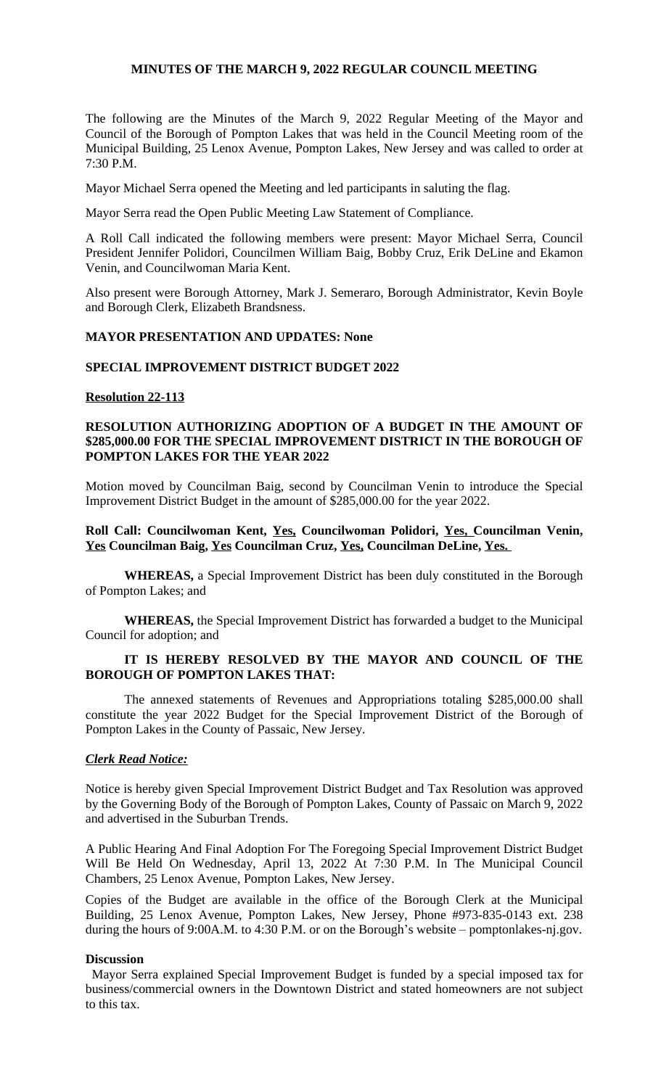#### **MINUTES OF THE MARCH 9, 2022 REGULAR COUNCIL MEETING**

The following are the Minutes of the March 9, 2022 Regular Meeting of the Mayor and Council of the Borough of Pompton Lakes that was held in the Council Meeting room of the Municipal Building, 25 Lenox Avenue, Pompton Lakes, New Jersey and was called to order at 7:30 P.M.

Mayor Michael Serra opened the Meeting and led participants in saluting the flag.

Mayor Serra read the Open Public Meeting Law Statement of Compliance.

A Roll Call indicated the following members were present: Mayor Michael Serra, Council President Jennifer Polidori, Councilmen William Baig, Bobby Cruz, Erik DeLine and Ekamon Venin, and Councilwoman Maria Kent.

Also present were Borough Attorney, Mark J. Semeraro, Borough Administrator, Kevin Boyle and Borough Clerk, Elizabeth Brandsness.

### **MAYOR PRESENTATION AND UPDATES: None**

#### **SPECIAL IMPROVEMENT DISTRICT BUDGET 2022**

#### **Resolution 22-113**

## **RESOLUTION AUTHORIZING ADOPTION OF A BUDGET IN THE AMOUNT OF \$285,000.00 FOR THE SPECIAL IMPROVEMENT DISTRICT IN THE BOROUGH OF POMPTON LAKES FOR THE YEAR 2022**

Motion moved by Councilman Baig, second by Councilman Venin to introduce the Special Improvement District Budget in the amount of \$285,000.00 for the year 2022.

# **Roll Call: Councilwoman Kent, Yes, Councilwoman Polidori, Yes, Councilman Venin, Yes Councilman Baig, Yes Councilman Cruz, Yes, Councilman DeLine, Yes.**

**WHEREAS,** a Special Improvement District has been duly constituted in the Borough of Pompton Lakes; and

**WHEREAS,** the Special Improvement District has forwarded a budget to the Municipal Council for adoption; and

## **IT IS HEREBY RESOLVED BY THE MAYOR AND COUNCIL OF THE BOROUGH OF POMPTON LAKES THAT:**

The annexed statements of Revenues and Appropriations totaling \$285,000.00 shall constitute the year 2022 Budget for the Special Improvement District of the Borough of Pompton Lakes in the County of Passaic, New Jersey.

## *Clerk Read Notice:*

Notice is hereby given Special Improvement District Budget and Tax Resolution was approved by the Governing Body of the Borough of Pompton Lakes, County of Passaic on March 9, 2022 and advertised in the Suburban Trends.

A Public Hearing And Final Adoption For The Foregoing Special Improvement District Budget Will Be Held On Wednesday, April 13, 2022 At 7:30 P.M. In The Municipal Council Chambers, 25 Lenox Avenue, Pompton Lakes, New Jersey.

Copies of the Budget are available in the office of the Borough Clerk at the Municipal Building, 25 Lenox Avenue, Pompton Lakes, New Jersey, Phone #973-835-0143 ext. 238 during the hours of 9:00A.M. to 4:30 P.M. or on the Borough's website – pomptonlakes-nj.gov.

#### **Discussion**

Mayor Serra explained Special Improvement Budget is funded by a special imposed tax for business/commercial owners in the Downtown District and stated homeowners are not subject to this tax.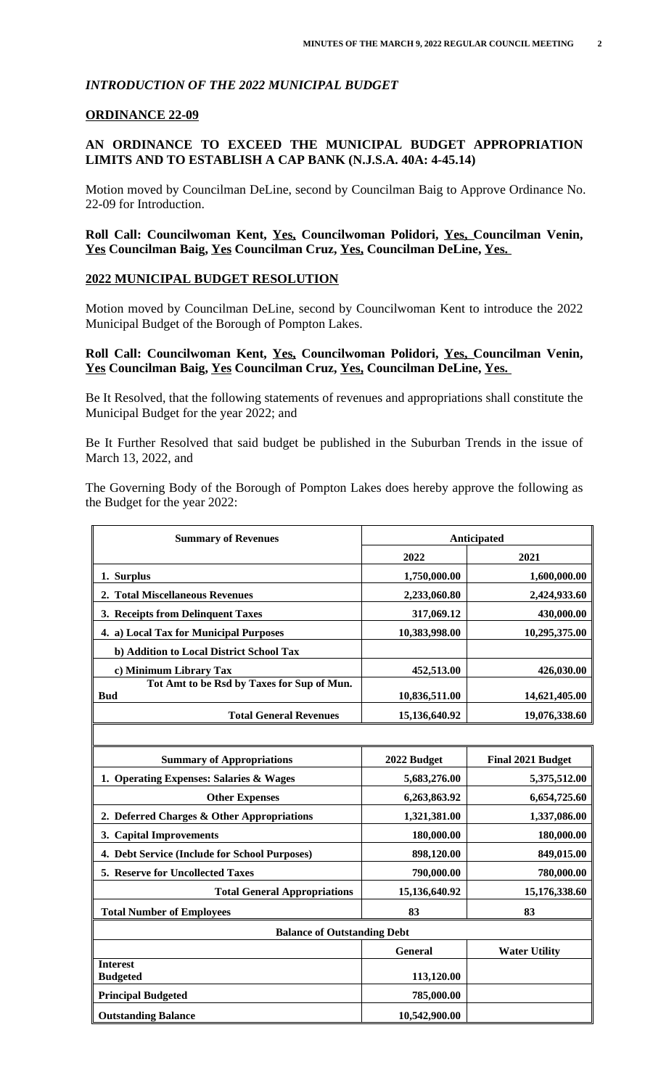# *INTRODUCTION OF THE 2022 MUNICIPAL BUDGET*

### **ORDINANCE 22-09**

# **AN ORDINANCE TO EXCEED THE MUNICIPAL BUDGET APPROPRIATION LIMITS AND TO ESTABLISH A CAP BANK (N.J.S.A. 40A: 4-45.14)**

Motion moved by Councilman DeLine, second by Councilman Baig to Approve Ordinance No. 22-09 for Introduction.

# **Roll Call: Councilwoman Kent, Yes, Councilwoman Polidori, Yes, Councilman Venin, Yes Councilman Baig, Yes Councilman Cruz, Yes, Councilman DeLine, Yes.**

### **2022 MUNICIPAL BUDGET RESOLUTION**

Motion moved by Councilman DeLine, second by Councilwoman Kent to introduce the 2022 Municipal Budget of the Borough of Pompton Lakes.

# **Roll Call: Councilwoman Kent, Yes, Councilwoman Polidori, Yes, Councilman Venin, Yes Councilman Baig, Yes Councilman Cruz, Yes, Councilman DeLine, Yes.**

Be It Resolved, that the following statements of revenues and appropriations shall constitute the Municipal Budget for the year 2022; and

Be It Further Resolved that said budget be published in the Suburban Trends in the issue of March 13, 2022, and

The Governing Body of the Borough of Pompton Lakes does hereby approve the following as the Budget for the year 2022:

| <b>Summary of Revenues</b>                               | Anticipated   |                          |
|----------------------------------------------------------|---------------|--------------------------|
|                                                          | 2022          | 2021                     |
| 1. Surplus                                               | 1,750,000.00  | 1,600,000.00             |
| 2. Total Miscellaneous Revenues                          | 2,233,060.80  | 2,424,933.60             |
| 3. Receipts from Delinquent Taxes                        | 317,069.12    | 430,000.00               |
| 4. a) Local Tax for Municipal Purposes                   | 10,383,998.00 | 10,295,375.00            |
| b) Addition to Local District School Tax                 |               |                          |
| c) Minimum Library Tax                                   | 452,513.00    | 426,030.00               |
| Tot Amt to be Rsd by Taxes for Sup of Mun.<br><b>Bud</b> | 10,836,511.00 | 14,621,405.00            |
| <b>Total General Revenues</b>                            | 15,136,640.92 | 19,076,338.60            |
|                                                          |               |                          |
| <b>Summary of Appropriations</b>                         | 2022 Budget   | <b>Final 2021 Budget</b> |
| $\sim$ $\sim$                                            | - --- --- --  | $- - - - - - - - -$      |

| 1. Operating Expenses: Salaries & Wages       | 5,683,276.00  | 5,375,512.00         |
|-----------------------------------------------|---------------|----------------------|
| <b>Other Expenses</b>                         | 6,263,863.92  | 6,654,725.60         |
| 2. Deferred Charges & Other Appropriations    | 1,321,381.00  | 1,337,086.00         |
| 3. Capital Improvements                       | 180,000.00    | 180,000.00           |
| 4. Debt Service (Include for School Purposes) | 898,120.00    | 849,015.00           |
| <b>5. Reserve for Uncollected Taxes</b>       | 790,000.00    | 780,000.00           |
| <b>Total General Appropriations</b>           | 15,136,640.92 | 15,176,338.60        |
| <b>Total Number of Employees</b>              | 83            | 83                   |
| <b>Balance of Outstanding Debt</b>            |               |                      |
|                                               | General       | <b>Water Utility</b> |
| <b>Interest</b>                               |               |                      |
| <b>Budgeted</b>                               | 113,120.00    |                      |
| <b>Principal Budgeted</b>                     | 785,000.00    |                      |
|                                               |               |                      |
| <b>Outstanding Balance</b>                    | 10,542,900.00 |                      |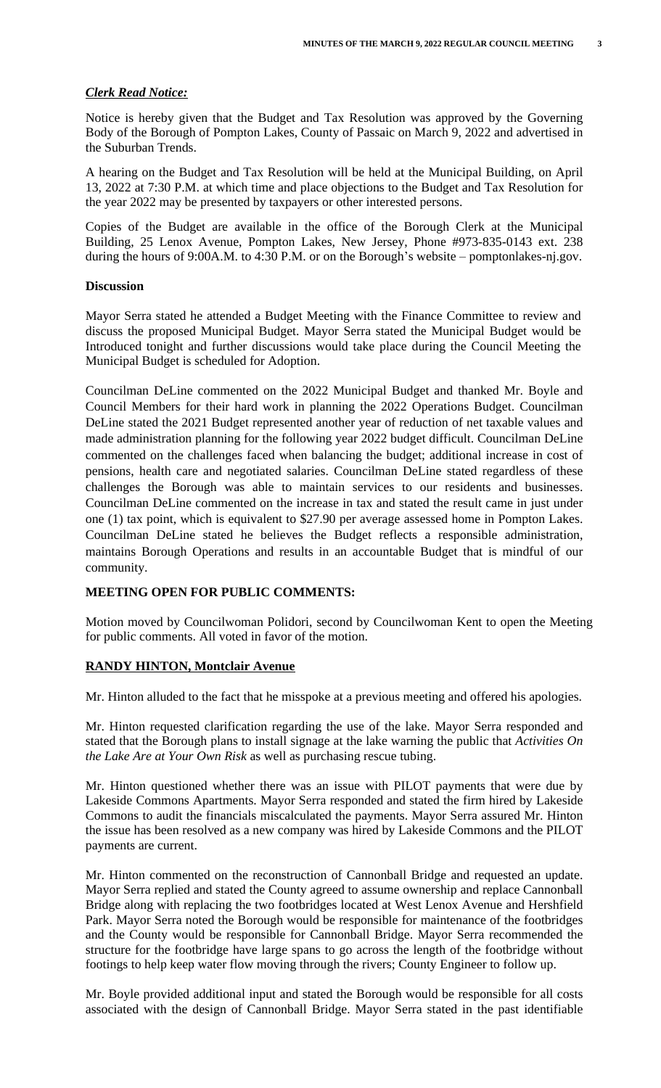# *Clerk Read Notice:*

Notice is hereby given that the Budget and Tax Resolution was approved by the Governing Body of the Borough of Pompton Lakes, County of Passaic on March 9, 2022 and advertised in the Suburban Trends.

A hearing on the Budget and Tax Resolution will be held at the Municipal Building, on April 13, 2022 at 7:30 P.M. at which time and place objections to the Budget and Tax Resolution for the year 2022 may be presented by taxpayers or other interested persons.

Copies of the Budget are available in the office of the Borough Clerk at the Municipal Building, 25 Lenox Avenue, Pompton Lakes, New Jersey, Phone #973-835-0143 ext. 238 during the hours of 9:00A.M. to 4:30 P.M. or on the Borough's website – pomptonlakes-nj.gov.

### **Discussion**

Mayor Serra stated he attended a Budget Meeting with the Finance Committee to review and discuss the proposed Municipal Budget. Mayor Serra stated the Municipal Budget would be Introduced tonight and further discussions would take place during the Council Meeting the Municipal Budget is scheduled for Adoption.

Councilman DeLine commented on the 2022 Municipal Budget and thanked Mr. Boyle and Council Members for their hard work in planning the 2022 Operations Budget. Councilman DeLine stated the 2021 Budget represented another year of reduction of net taxable values and made administration planning for the following year 2022 budget difficult. Councilman DeLine commented on the challenges faced when balancing the budget; additional increase in cost of pensions, health care and negotiated salaries. Councilman DeLine stated regardless of these challenges the Borough was able to maintain services to our residents and businesses. Councilman DeLine commented on the increase in tax and stated the result came in just under one (1) tax point, which is equivalent to \$27.90 per average assessed home in Pompton Lakes. Councilman DeLine stated he believes the Budget reflects a responsible administration, maintains Borough Operations and results in an accountable Budget that is mindful of our community.

# **MEETING OPEN FOR PUBLIC COMMENTS:**

Motion moved by Councilwoman Polidori, second by Councilwoman Kent to open the Meeting for public comments. All voted in favor of the motion.

# **RANDY HINTON, Montclair Avenue**

Mr. Hinton alluded to the fact that he misspoke at a previous meeting and offered his apologies.

Mr. Hinton requested clarification regarding the use of the lake. Mayor Serra responded and stated that the Borough plans to install signage at the lake warning the public that *Activities On the Lake Are at Your Own Risk* as well as purchasing rescue tubing.

Mr. Hinton questioned whether there was an issue with PILOT payments that were due by Lakeside Commons Apartments. Mayor Serra responded and stated the firm hired by Lakeside Commons to audit the financials miscalculated the payments. Mayor Serra assured Mr. Hinton the issue has been resolved as a new company was hired by Lakeside Commons and the PILOT payments are current.

Mr. Hinton commented on the reconstruction of Cannonball Bridge and requested an update. Mayor Serra replied and stated the County agreed to assume ownership and replace Cannonball Bridge along with replacing the two footbridges located at West Lenox Avenue and Hershfield Park. Mayor Serra noted the Borough would be responsible for maintenance of the footbridges and the County would be responsible for Cannonball Bridge. Mayor Serra recommended the structure for the footbridge have large spans to go across the length of the footbridge without footings to help keep water flow moving through the rivers; County Engineer to follow up.

Mr. Boyle provided additional input and stated the Borough would be responsible for all costs associated with the design of Cannonball Bridge. Mayor Serra stated in the past identifiable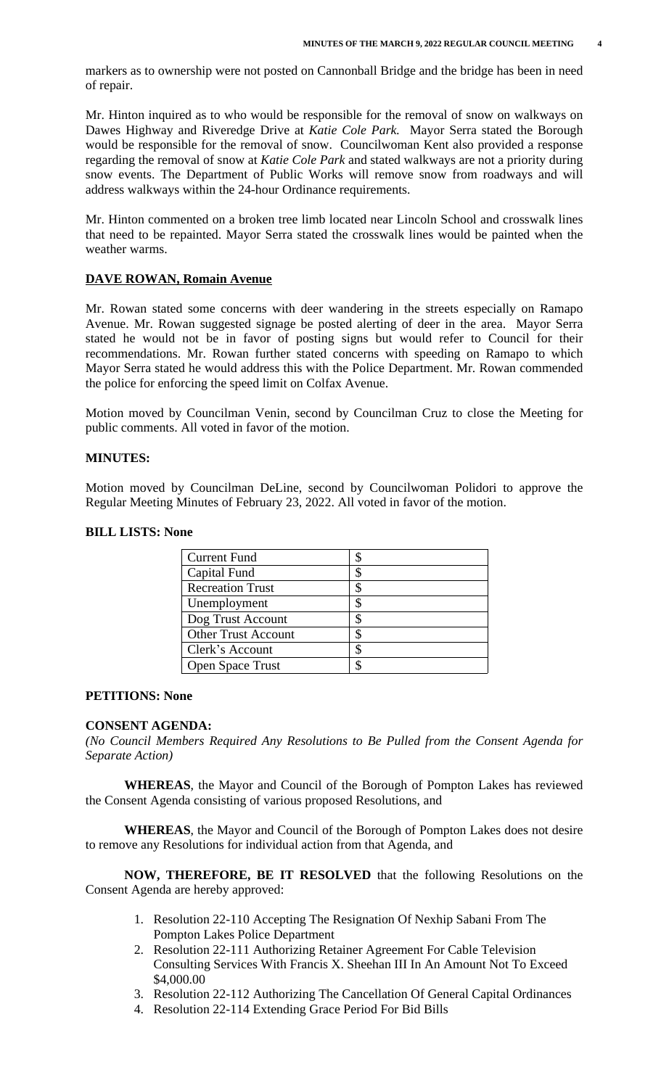markers as to ownership were not posted on Cannonball Bridge and the bridge has been in need of repair.

Mr. Hinton inquired as to who would be responsible for the removal of snow on walkways on Dawes Highway and Riveredge Drive at *Katie Cole Park.* Mayor Serra stated the Borough would be responsible for the removal of snow. Councilwoman Kent also provided a response regarding the removal of snow at *Katie Cole Park* and stated walkways are not a priority during snow events. The Department of Public Works will remove snow from roadways and will address walkways within the 24-hour Ordinance requirements.

Mr. Hinton commented on a broken tree limb located near Lincoln School and crosswalk lines that need to be repainted. Mayor Serra stated the crosswalk lines would be painted when the weather warms.

#### **DAVE ROWAN, Romain Avenue**

Mr. Rowan stated some concerns with deer wandering in the streets especially on Ramapo Avenue. Mr. Rowan suggested signage be posted alerting of deer in the area. Mayor Serra stated he would not be in favor of posting signs but would refer to Council for their recommendations. Mr. Rowan further stated concerns with speeding on Ramapo to which Mayor Serra stated he would address this with the Police Department. Mr. Rowan commended the police for enforcing the speed limit on Colfax Avenue.

Motion moved by Councilman Venin, second by Councilman Cruz to close the Meeting for public comments. All voted in favor of the motion.

#### **MINUTES:**

Motion moved by Councilman DeLine, second by Councilwoman Polidori to approve the Regular Meeting Minutes of February 23, 2022. All voted in favor of the motion.

#### **BILL LISTS: None**

| <b>Current Fund</b>        |  |
|----------------------------|--|
| Capital Fund               |  |
| <b>Recreation Trust</b>    |  |
| Unemployment               |  |
| Dog Trust Account          |  |
| <b>Other Trust Account</b> |  |
| Clerk's Account            |  |
| <b>Open Space Trust</b>    |  |

#### **PETITIONS: None**

#### **CONSENT AGENDA:**

*(No Council Members Required Any Resolutions to Be Pulled from the Consent Agenda for Separate Action)*

**WHEREAS**, the Mayor and Council of the Borough of Pompton Lakes has reviewed the Consent Agenda consisting of various proposed Resolutions, and

**WHEREAS**, the Mayor and Council of the Borough of Pompton Lakes does not desire to remove any Resolutions for individual action from that Agenda, and

**NOW, THEREFORE, BE IT RESOLVED** that the following Resolutions on the Consent Agenda are hereby approved:

- 1. Resolution 22-110 Accepting The Resignation Of Nexhip Sabani From The Pompton Lakes Police Department
- 2. Resolution 22-111 Authorizing Retainer Agreement For Cable Television Consulting Services With Francis X. Sheehan III In An Amount Not To Exceed \$4,000.00
- 3. Resolution 22-112 Authorizing The Cancellation Of General Capital Ordinances
- 4. Resolution 22-114 Extending Grace Period For Bid Bills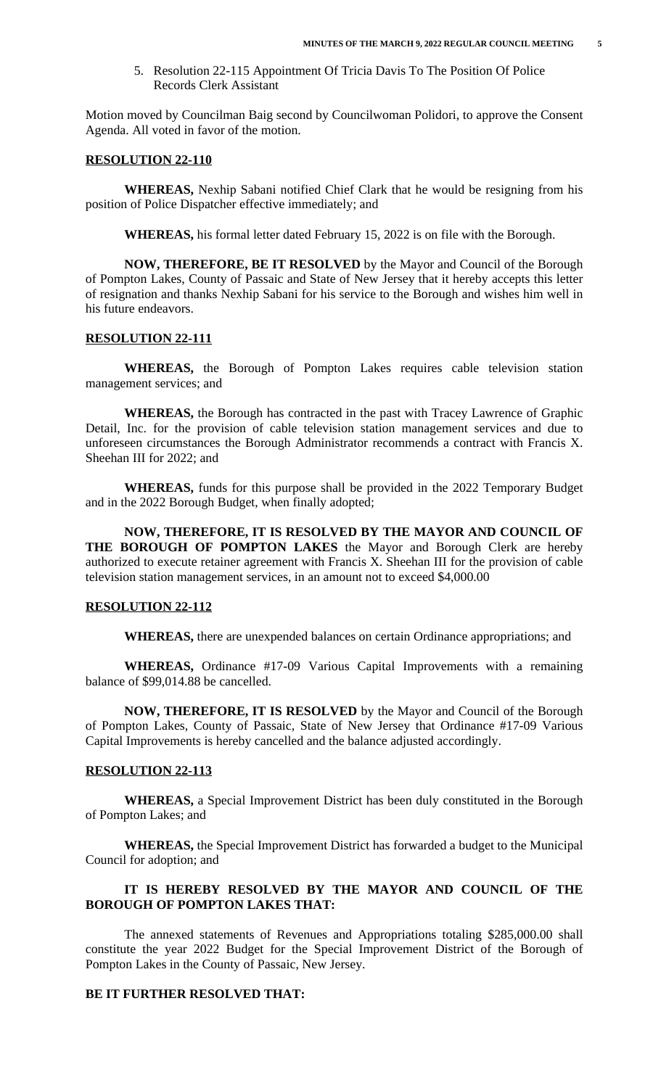5. Resolution 22-115 Appointment Of Tricia Davis To The Position Of Police Records Clerk Assistant

Motion moved by Councilman Baig second by Councilwoman Polidori, to approve the Consent Agenda. All voted in favor of the motion.

#### **RESOLUTION 22-110**

**WHEREAS,** Nexhip Sabani notified Chief Clark that he would be resigning from his position of Police Dispatcher effective immediately; and

**WHEREAS,** his formal letter dated February 15, 2022 is on file with the Borough.

**NOW, THEREFORE, BE IT RESOLVED** by the Mayor and Council of the Borough of Pompton Lakes, County of Passaic and State of New Jersey that it hereby accepts this letter of resignation and thanks Nexhip Sabani for his service to the Borough and wishes him well in his future endeavors.

### **RESOLUTION 22-111**

**WHEREAS,** the Borough of Pompton Lakes requires cable television station management services; and

**WHEREAS,** the Borough has contracted in the past with Tracey Lawrence of Graphic Detail, Inc. for the provision of cable television station management services and due to unforeseen circumstances the Borough Administrator recommends a contract with Francis X. Sheehan III for 2022; and

**WHEREAS,** funds for this purpose shall be provided in the 2022 Temporary Budget and in the 2022 Borough Budget, when finally adopted;

**NOW, THEREFORE, IT IS RESOLVED BY THE MAYOR AND COUNCIL OF THE BOROUGH OF POMPTON LAKES** the Mayor and Borough Clerk are hereby authorized to execute retainer agreement with Francis X. Sheehan III for the provision of cable television station management services, in an amount not to exceed \$4,000.00

# **RESOLUTION 22-112**

**WHEREAS,** there are unexpended balances on certain Ordinance appropriations; and

**WHEREAS,** Ordinance #17-09 Various Capital Improvements with a remaining balance of \$99,014.88 be cancelled.

**NOW, THEREFORE, IT IS RESOLVED** by the Mayor and Council of the Borough of Pompton Lakes, County of Passaic, State of New Jersey that Ordinance #17-09 Various Capital Improvements is hereby cancelled and the balance adjusted accordingly.

### **RESOLUTION 22-113**

**WHEREAS,** a Special Improvement District has been duly constituted in the Borough of Pompton Lakes; and

**WHEREAS,** the Special Improvement District has forwarded a budget to the Municipal Council for adoption; and

# **IT IS HEREBY RESOLVED BY THE MAYOR AND COUNCIL OF THE BOROUGH OF POMPTON LAKES THAT:**

The annexed statements of Revenues and Appropriations totaling \$285,000.00 shall constitute the year 2022 Budget for the Special Improvement District of the Borough of Pompton Lakes in the County of Passaic, New Jersey.

# **BE IT FURTHER RESOLVED THAT:**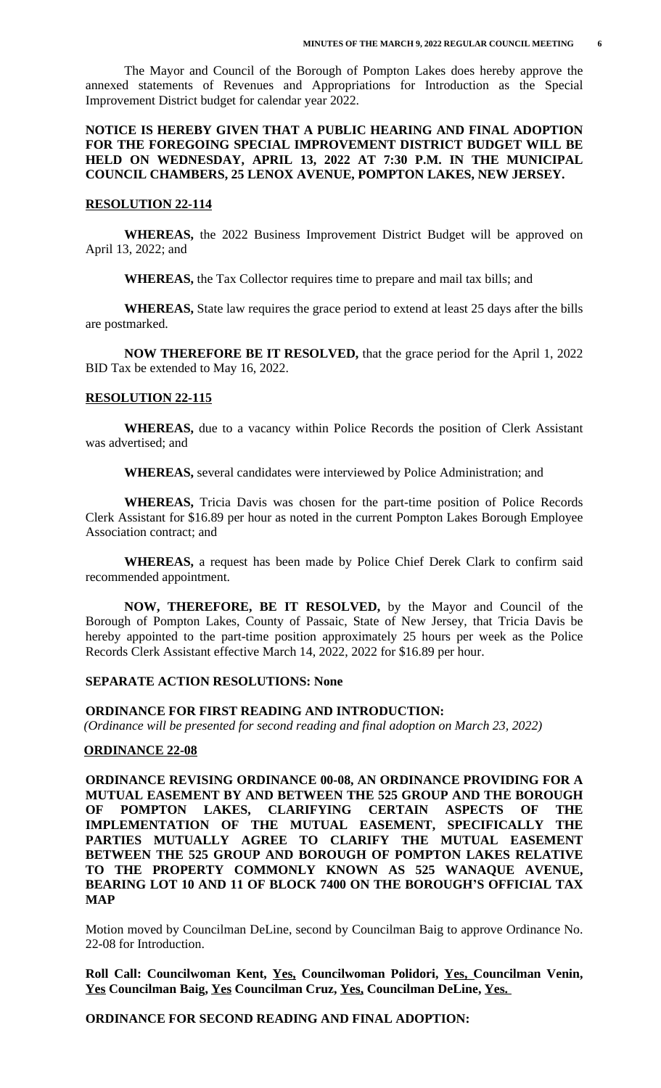The Mayor and Council of the Borough of Pompton Lakes does hereby approve the annexed statements of Revenues and Appropriations for Introduction as the Special Improvement District budget for calendar year 2022.

# **NOTICE IS HEREBY GIVEN THAT A PUBLIC HEARING AND FINAL ADOPTION FOR THE FOREGOING SPECIAL IMPROVEMENT DISTRICT BUDGET WILL BE HELD ON WEDNESDAY, APRIL 13, 2022 AT 7:30 P.M. IN THE MUNICIPAL COUNCIL CHAMBERS, 25 LENOX AVENUE, POMPTON LAKES, NEW JERSEY.**

#### **RESOLUTION 22-114**

**WHEREAS,** the 2022 Business Improvement District Budget will be approved on April 13, 2022; and

**WHEREAS,** the Tax Collector requires time to prepare and mail tax bills; and

**WHEREAS,** State law requires the grace period to extend at least 25 days after the bills are postmarked.

**NOW THEREFORE BE IT RESOLVED,** that the grace period for the April 1, 2022 BID Tax be extended to May 16, 2022.

#### **RESOLUTION 22-115**

**WHEREAS,** due to a vacancy within Police Records the position of Clerk Assistant was advertised; and

**WHEREAS,** several candidates were interviewed by Police Administration; and

**WHEREAS,** Tricia Davis was chosen for the part-time position of Police Records Clerk Assistant for \$16.89 per hour as noted in the current Pompton Lakes Borough Employee Association contract; and

**WHEREAS,** a request has been made by Police Chief Derek Clark to confirm said recommended appointment.

**NOW, THEREFORE, BE IT RESOLVED,** by the Mayor and Council of the Borough of Pompton Lakes, County of Passaic, State of New Jersey, that Tricia Davis be hereby appointed to the part-time position approximately 25 hours per week as the Police Records Clerk Assistant effective March 14, 2022, 2022 for \$16.89 per hour.

#### **SEPARATE ACTION RESOLUTIONS: None**

#### **ORDINANCE FOR FIRST READING AND INTRODUCTION:**

 *(Ordinance will be presented for second reading and final adoption on March 23, 2022)*

#### **ORDINANCE 22-08**

**ORDINANCE REVISING ORDINANCE 00-08, AN ORDINANCE PROVIDING FOR A MUTUAL EASEMENT BY AND BETWEEN THE 525 GROUP AND THE BOROUGH OF POMPTON LAKES, CLARIFYING CERTAIN ASPECTS OF THE IMPLEMENTATION OF THE MUTUAL EASEMENT, SPECIFICALLY THE PARTIES MUTUALLY AGREE TO CLARIFY THE MUTUAL EASEMENT BETWEEN THE 525 GROUP AND BOROUGH OF POMPTON LAKES RELATIVE TO THE PROPERTY COMMONLY KNOWN AS 525 WANAQUE AVENUE, BEARING LOT 10 AND 11 OF BLOCK 7400 ON THE BOROUGH'S OFFICIAL TAX MAP**

Motion moved by Councilman DeLine, second by Councilman Baig to approve Ordinance No. 22-08 for Introduction.

**Roll Call: Councilwoman Kent, Yes, Councilwoman Polidori, Yes, Councilman Venin, Yes Councilman Baig, Yes Councilman Cruz, Yes, Councilman DeLine, Yes.** 

 **ORDINANCE FOR SECOND READING AND FINAL ADOPTION:**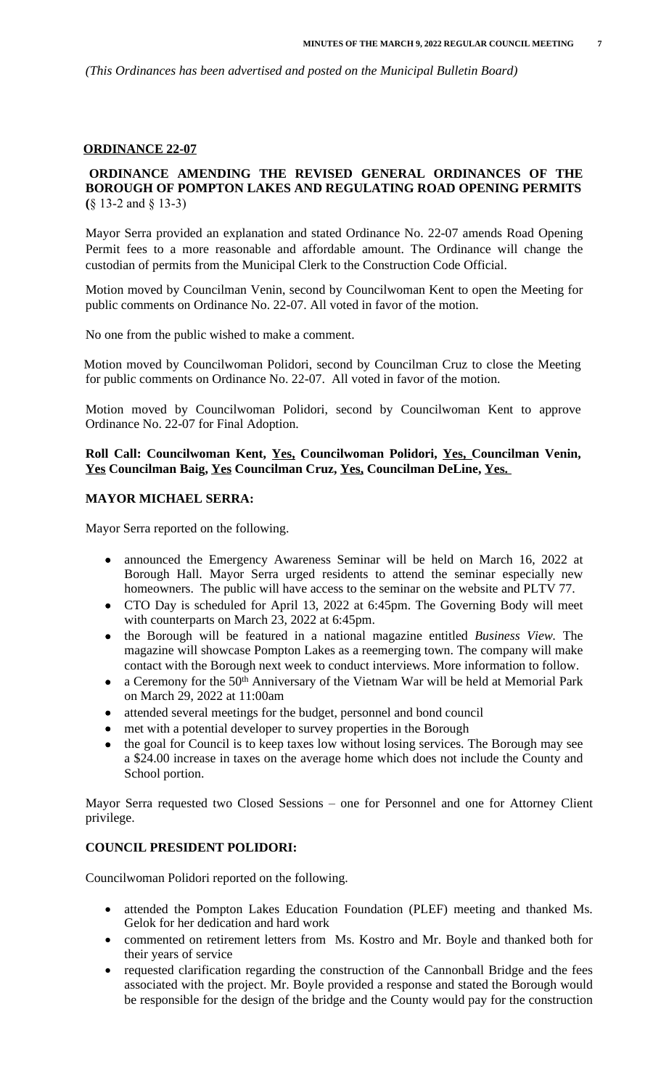*(This Ordinances has been advertised and posted on the Municipal Bulletin Board)*

### **ORDINANCE 22-07**

# **ORDINANCE AMENDING THE REVISED GENERAL ORDINANCES OF THE BOROUGH OF POMPTON LAKES AND REGULATING ROAD OPENING PERMITS (**§ 13-2 and § 13-3)

Mayor Serra provided an explanation and stated Ordinance No. 22-07 amends Road Opening Permit fees to a more reasonable and affordable amount. The Ordinance will change the custodian of permits from the Municipal Clerk to the Construction Code Official.

Motion moved by Councilman Venin, second by Councilwoman Kent to open the Meeting for public comments on Ordinance No. 22-07. All voted in favor of the motion.

No one from the public wished to make a comment.

Motion moved by Councilwoman Polidori, second by Councilman Cruz to close the Meeting for public comments on Ordinance No. 22-07. All voted in favor of the motion.

Motion moved by Councilwoman Polidori, second by Councilwoman Kent to approve Ordinance No. 22-07 for Final Adoption.

### **Roll Call: Councilwoman Kent, Yes, Councilwoman Polidori, Yes, Councilman Venin, Yes Councilman Baig, Yes Councilman Cruz, Yes, Councilman DeLine, Yes.**

# **MAYOR MICHAEL SERRA:**

Mayor Serra reported on the following.

- announced the Emergency Awareness Seminar will be held on March 16, 2022 at Borough Hall. Mayor Serra urged residents to attend the seminar especially new homeowners. The public will have access to the seminar on the website and PLTV 77.
- CTO Day is scheduled for April 13, 2022 at 6:45pm. The Governing Body will meet with counterparts on March 23, 2022 at 6:45pm.
- the Borough will be featured in a national magazine entitled *Business View.* The magazine will showcase Pompton Lakes as a reemerging town. The company will make contact with the Borough next week to conduct interviews. More information to follow.
- a Ceremony for the 50th Anniversary of the Vietnam War will be held at Memorial Park on March 29, 2022 at 11:00am
- attended several meetings for the budget, personnel and bond council
- met with a potential developer to survey properties in the Borough
- the goal for Council is to keep taxes low without losing services. The Borough may see a \$24.00 increase in taxes on the average home which does not include the County and School portion.

Mayor Serra requested two Closed Sessions – one for Personnel and one for Attorney Client privilege.

# **COUNCIL PRESIDENT POLIDORI:**

Councilwoman Polidori reported on the following.

- attended the Pompton Lakes Education Foundation (PLEF) meeting and thanked Ms. Gelok for her dedication and hard work
- commented on retirement letters from Ms. Kostro and Mr. Boyle and thanked both for their years of service
- requested clarification regarding the construction of the Cannonball Bridge and the fees associated with the project. Mr. Boyle provided a response and stated the Borough would be responsible for the design of the bridge and the County would pay for the construction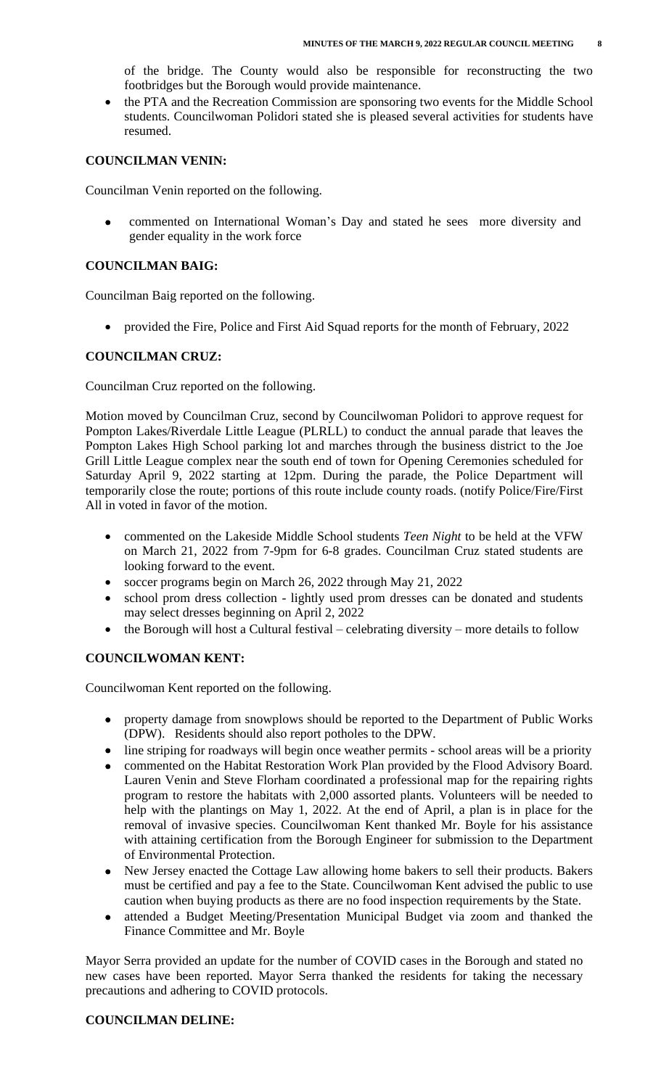of the bridge. The County would also be responsible for reconstructing the two footbridges but the Borough would provide maintenance.

 the PTA and the Recreation Commission are sponsoring two events for the Middle School students. Councilwoman Polidori stated she is pleased several activities for students have resumed.

# **COUNCILMAN VENIN:**

Councilman Venin reported on the following.

 commented on International Woman's Day and stated he sees more diversity and gender equality in the work force

## **COUNCILMAN BAIG:**

Councilman Baig reported on the following.

• provided the Fire, Police and First Aid Squad reports for the month of February, 2022

# **COUNCILMAN CRUZ:**

Councilman Cruz reported on the following.

Motion moved by Councilman Cruz, second by Councilwoman Polidori to approve request for Pompton Lakes/Riverdale Little League (PLRLL) to conduct the annual parade that leaves the Pompton Lakes High School parking lot and marches through the business district to the Joe Grill Little League complex near the south end of town for Opening Ceremonies scheduled for Saturday April 9, 2022 starting at 12pm. During the parade, the Police Department will temporarily close the route; portions of this route include county roads. (notify Police/Fire/First All in voted in favor of the motion.

- commented on the Lakeside Middle School students *Teen Night* to be held at the VFW on March 21, 2022 from 7-9pm for 6-8 grades. Councilman Cruz stated students are looking forward to the event.
- soccer programs begin on March 26, 2022 through May 21, 2022
- school prom dress collection lightly used prom dresses can be donated and students may select dresses beginning on April 2, 2022
- the Borough will host a Cultural festival celebrating diversity more details to follow

# **COUNCILWOMAN KENT:**

Councilwoman Kent reported on the following.

- property damage from snowplows should be reported to the Department of Public Works (DPW). Residents should also report potholes to the DPW.
- line striping for roadways will begin once weather permits school areas will be a priority
- commented on the Habitat Restoration Work Plan provided by the Flood Advisory Board. Lauren Venin and Steve Florham coordinated a professional map for the repairing rights program to restore the habitats with 2,000 assorted plants. Volunteers will be needed to help with the plantings on May 1, 2022. At the end of April, a plan is in place for the removal of invasive species. Councilwoman Kent thanked Mr. Boyle for his assistance with attaining certification from the Borough Engineer for submission to the Department of Environmental Protection.
- New Jersey enacted the Cottage Law allowing home bakers to sell their products. Bakers must be certified and pay a fee to the State. Councilwoman Kent advised the public to use caution when buying products as there are no food inspection requirements by the State.
- attended a Budget Meeting/Presentation Municipal Budget via zoom and thanked the Finance Committee and Mr. Boyle

Mayor Serra provided an update for the number of COVID cases in the Borough and stated no new cases have been reported. Mayor Serra thanked the residents for taking the necessary precautions and adhering to COVID protocols.

# **COUNCILMAN DELINE:**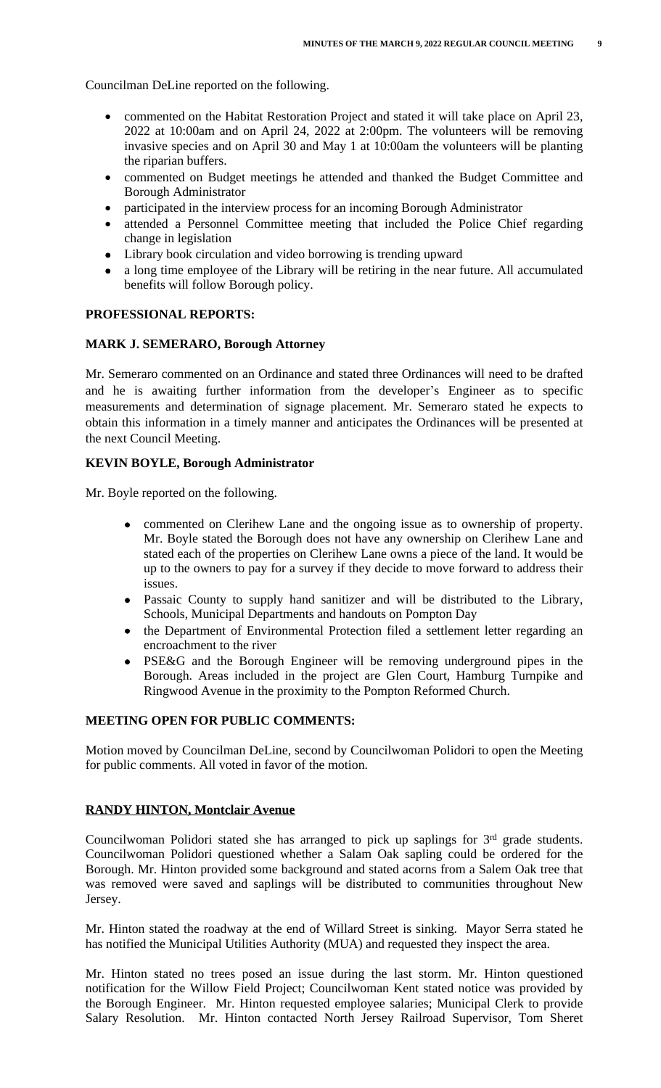Councilman DeLine reported on the following.

- commented on the Habitat Restoration Project and stated it will take place on April 23, 2022 at 10:00am and on April 24, 2022 at 2:00pm. The volunteers will be removing invasive species and on April 30 and May 1 at 10:00am the volunteers will be planting the riparian buffers.
- commented on Budget meetings he attended and thanked the Budget Committee and Borough Administrator
- participated in the interview process for an incoming Borough Administrator
- attended a Personnel Committee meeting that included the Police Chief regarding change in legislation
- Library book circulation and video borrowing is trending upward
- a long time employee of the Library will be retiring in the near future. All accumulated benefits will follow Borough policy.

#### **PROFESSIONAL REPORTS:**

#### **MARK J. SEMERARO, Borough Attorney**

Mr. Semeraro commented on an Ordinance and stated three Ordinances will need to be drafted and he is awaiting further information from the developer's Engineer as to specific measurements and determination of signage placement. Mr. Semeraro stated he expects to obtain this information in a timely manner and anticipates the Ordinances will be presented at the next Council Meeting.

#### **KEVIN BOYLE, Borough Administrator**

Mr. Boyle reported on the following.

- commented on Clerihew Lane and the ongoing issue as to ownership of property. Mr. Boyle stated the Borough does not have any ownership on Clerihew Lane and stated each of the properties on Clerihew Lane owns a piece of the land. It would be up to the owners to pay for a survey if they decide to move forward to address their issues.
- Passaic County to supply hand sanitizer and will be distributed to the Library, Schools, Municipal Departments and handouts on Pompton Day
- the Department of Environmental Protection filed a settlement letter regarding an encroachment to the river
- PSE&G and the Borough Engineer will be removing underground pipes in the Borough. Areas included in the project are Glen Court, Hamburg Turnpike and Ringwood Avenue in the proximity to the Pompton Reformed Church.

# **MEETING OPEN FOR PUBLIC COMMENTS:**

Motion moved by Councilman DeLine, second by Councilwoman Polidori to open the Meeting for public comments. All voted in favor of the motion.

## **RANDY HINTON, Montclair Avenue**

Councilwoman Polidori stated she has arranged to pick up saplings for 3<sup>rd</sup> grade students. Councilwoman Polidori questioned whether a Salam Oak sapling could be ordered for the Borough. Mr. Hinton provided some background and stated acorns from a Salem Oak tree that was removed were saved and saplings will be distributed to communities throughout New Jersey.

Mr. Hinton stated the roadway at the end of Willard Street is sinking. Mayor Serra stated he has notified the Municipal Utilities Authority (MUA) and requested they inspect the area.

Mr. Hinton stated no trees posed an issue during the last storm. Mr. Hinton questioned notification for the Willow Field Project; Councilwoman Kent stated notice was provided by the Borough Engineer. Mr. Hinton requested employee salaries; Municipal Clerk to provide Salary Resolution. Mr. Hinton contacted North Jersey Railroad Supervisor, Tom Sheret